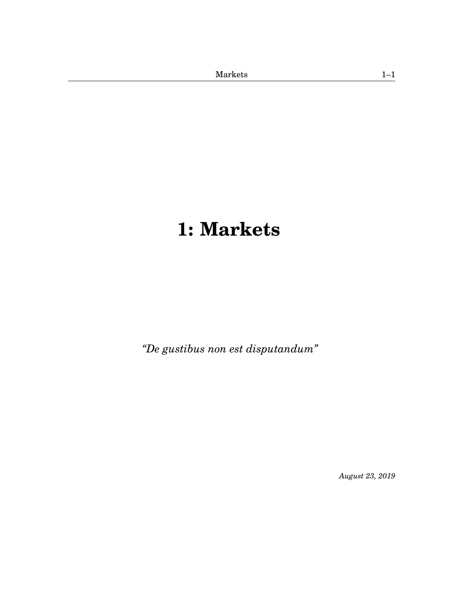# <span id="page-0-1"></span><span id="page-0-0"></span>**[1:](#page-0-0) Markets**

*"De gustibus non est disputandum"*

*August 23, 2019*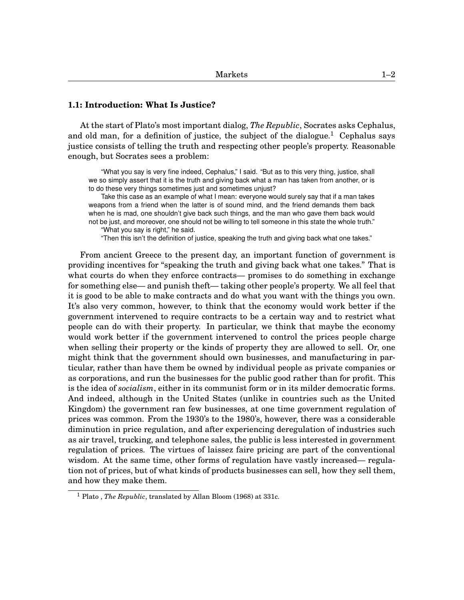## **1.1: Introduction: What Is Justice?**

At the start of Plato's most important dialog, *The Republic*, Socrates asks Cephalus, and old man, for a definition of justice, the subject of the dialogue.<sup>[1](#page-0-1)</sup> Cephalus says justice consists of telling the truth and respecting other people's property. Reasonable enough, but Socrates sees a problem:

"What you say is very fine indeed, Cephalus," I said. "But as to this very thing, justice, shall we so simply assert that it is the truth and giving back what a man has taken from another, or is to do these very things sometimes just and sometimes unjust?

Take this case as an example of what I mean: everyone would surely say that if a man takes weapons from a friend when the latter is of sound mind, and the friend demands them back when he is mad, one shouldn't give back such things, and the man who gave them back would not be just, and moreover, one should not be willing to tell someone in this state the whole truth."

"What you say is right," he said.

"Then this isn't the definition of justice, speaking the truth and giving back what one takes."

From ancient Greece to the present day, an important function of government is providing incentives for "speaking the truth and giving back what one takes." That is what courts do when they enforce contracts— promises to do something in exchange for something else— and punish theft— taking other people's property. We all feel that it is good to be able to make contracts and do what you want with the things you own. It's also very common, however, to think that the economy would work better if the government intervened to require contracts to be a certain way and to restrict what people can do with their property. In particular, we think that maybe the economy would work better if the government intervened to control the prices people charge when selling their property or the kinds of property they are allowed to sell. Or, one might think that the government should own businesses, and manufacturing in particular, rather than have them be owned by individual people as private companies or as corporations, and run the businesses for the public good rather than for profit. This is the idea of *socialism*, either in its communist form or in its milder democratic forms. And indeed, although in the United States (unlike in countries such as the United Kingdom) the government ran few businesses, at one time government regulation of prices was common. From the 1930's to the 1980's, however, there was a considerable diminution in price regulation, and after experiencing deregulation of industries such as air travel, trucking, and telephone sales, the public is less interested in government regulation of prices. The virtues of laissez faire pricing are part of the conventional wisdom. At the same time, other forms of regulation have vastly increased— regulation not of prices, but of what kinds of products businesses can sell, how they sell them, and how they make them.

<sup>1</sup> Plato , *The Republic*, translated by Allan Bloom (1968) at 331c.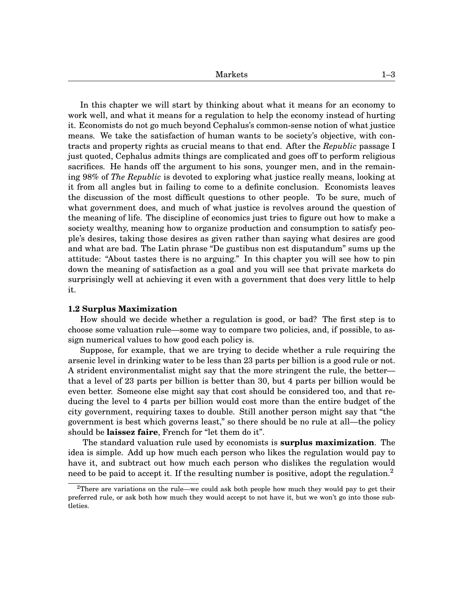In this chapter we will start by thinking about what it means for an economy to work well, and what it means for a regulation to help the economy instead of hurting it. Economists do not go much beyond Cephalus's common-sense notion of what justice means. We take the satisfaction of human wants to be society's objective, with contracts and property rights as crucial means to that end. After the *Republic* passage I just quoted, Cephalus admits things are complicated and goes off to perform religious sacrifices. He hands off the argument to his sons, younger men, and in the remaining 98% of *The Republic* is devoted to exploring what justice really means, looking at it from all angles but in failing to come to a definite conclusion. Economists leaves the discussion of the most difficult questions to other people. To be sure, much of what government does, and much of what justice is revolves around the question of the meaning of life. The discipline of economics just tries to figure out how to make a society wealthy, meaning how to organize production and consumption to satisfy people's desires, taking those desires as given rather than saying what desires are good and what are bad. The Latin phrase "De gustibus non est disputandum" sums up the attitude: "About tastes there is no arguing." In this chapter you will see how to pin down the meaning of satisfaction as a goal and you will see that private markets do surprisingly well at achieving it even with a government that does very little to help it.

#### **1.2 Surplus Maximization**

How should we decide whether a regulation is good, or bad? The first step is to choose some valuation rule—some way to compare two policies, and, if possible, to assign numerical values to how good each policy is.

Suppose, for example, that we are trying to decide whether a rule requiring the arsenic level in drinking water to be less than 23 parts per billion is a good rule or not. A strident environmentalist might say that the more stringent the rule, the better that a level of 23 parts per billion is better than 30, but 4 parts per billion would be even better. Someone else might say that cost should be considered too, and that reducing the level to 4 parts per billion would cost more than the entire budget of the city government, requiring taxes to double. Still another person might say that "the government is best which governs least," so there should be no rule at all—the policy should be **laissez faire**, French for "let them do it".

The standard valuation rule used by economists is **surplus maximization**. The idea is simple. Add up how much each person who likes the regulation would pay to have it, and subtract out how much each person who dislikes the regulation would need to be paid to accept it. If the resulting number is positive, adopt the regulation.<sup>[2](#page-0-1)</sup>

<sup>&</sup>lt;sup>2</sup>There are variations on the rule—we could ask both people how much they would pay to get their preferred rule, or ask both how much they would accept to not have it, but we won't go into those subtleties.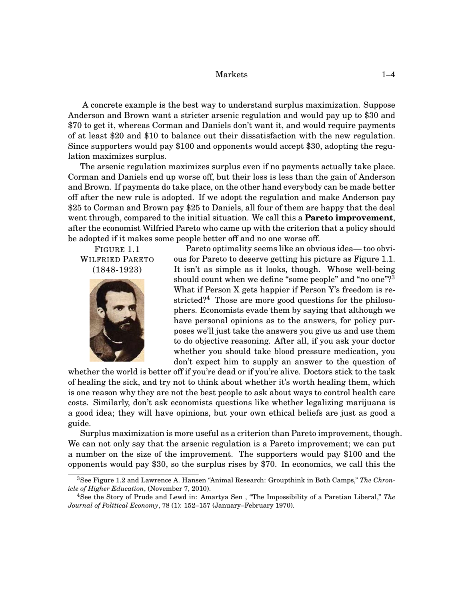A concrete example is the best way to understand surplus maximization. Suppose Anderson and Brown want a stricter arsenic regulation and would pay up to \$30 and \$70 to get it, whereas Corman and Daniels don't want it, and would require payments of at least \$20 and \$10 to balance out their dissatisfaction with the new regulation. Since supporters would pay \$100 and opponents would accept \$30, adopting the regulation maximizes surplus.

The arsenic regulation maximizes surplus even if no payments actually take place. Corman and Daniels end up worse off, but their loss is less than the gain of Anderson and Brown. If payments do take place, on the other hand everybody can be made better off after the new rule is adopted. If we adopt the regulation and make Anderson pay \$25 to Corman and Brown pay \$25 to Daniels, all four of them are happy that the deal went through, compared to the initial situation. We call this a **Pareto improvement**, after the economist Wilfried Pareto who came up with the criterion that a policy should be adopted if it makes some people better off and no one worse off.

FIGURE 1[.1](#page-3-0) WILFRIED PARETO (1848-1923)



Pareto optimality seems like an obvious idea— too obvious for Pareto to deserve getting his picture as Figure 1[.1.](#page-3-0) It isn't as simple as it looks, though. Whose well-being should count when we define "some people" and "no one"?<sup>[3](#page-0-1)</sup> What if Person X gets happier if Person Y's freedom is re-stricted?<sup>[4](#page-0-1)</sup> Those are more good questions for the philosophers. Economists evade them by saying that although we have personal opinions as to the answers, for policy purposes we'll just take the answers you give us and use them to do objective reasoning. After all, if you ask your doctor whether you should take blood pressure medication, you don't expect him to supply an answer to the question of

<span id="page-3-0"></span>whether the world is better off if you're dead or if you're alive. Doctors stick to the task of healing the sick, and try not to think about whether it's worth healing them, which is one reason why they are not the best people to ask about ways to control health care costs. Similarly, don't ask economists questions like whether legalizing marijuana is a good idea; they will have opinions, but your own ethical beliefs are just as good a guide.

Surplus maximization is more useful as a criterion than Pareto improvement, though. We can not only say that the arsenic regulation is a Pareto improvement; we can put a number on the size of the improvement. The supporters would pay \$100 and the opponents would pay \$30, so the surplus rises by \$70. In economics, we call this the

<sup>3</sup>See Figure 1[.2](#page-4-0) and Lawrence A. Hansen "Animal Research: Groupthink in Both Camps," *The Chronicle of Higher Education*, (November 7, 2010).

<sup>4</sup>See the Story of Prude and Lewd in: Amartya Sen , "The Impossibility of a Paretian Liberal," *The Journal of Political Economy*, 78 (1): 152–157 (January–February 1970).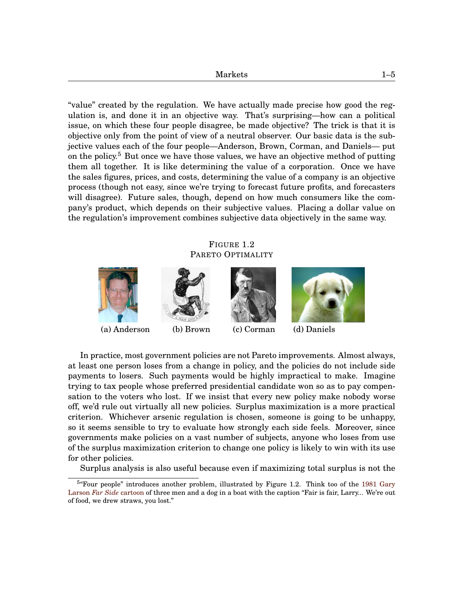"value" created by the regulation. We have actually made precise how good the regulation is, and done it in an objective way. That's surprising—how can a political issue, on which these four people disagree, be made objective? The trick is that it is objective only from the point of view of a neutral observer. Our basic data is the subjective values each of the four people—Anderson, Brown, Corman, and Daniels— put on the policy.<sup>[5](#page-0-1)</sup> But once we have those values, we have an objective method of putting them all together. It is like determining the value of a corporation. Once we have the sales figures, prices, and costs, determining the value of a company is an objective process (though not easy, since we're trying to forecast future profits, and forecasters will disagree). Future sales, though, depend on how much consumers like the company's product, which depends on their subjective values. Placing a dollar value on the regulation's improvement combines subjective data objectively in the same way.

# FIGURE 1[.2](#page-4-0) PARETO OPTIMALITY

<span id="page-4-0"></span>

In practice, most government policies are not Pareto improvements. Almost always, at least one person loses from a change in policy, and the policies do not include side payments to losers. Such payments would be highly impractical to make. Imagine trying to tax people whose preferred presidential candidate won so as to pay compensation to the voters who lost. If we insist that every new policy make nobody worse off, we'd rule out virtually all new policies. Surplus maximization is a more practical criterion. Whichever arsenic regulation is chosen, someone is going to be unhappy, so it seems sensible to try to evaluate how strongly each side feels. Moreover, since governments make policies on a vast number of subjects, anyone who loses from use of the surplus maximization criterion to change one policy is likely to win with its use for other policies.

Surplus analysis is also useful because even if maximizing total surplus is not the

<sup>&</sup>lt;sup>5</sup> "Four people" introduces another problem, illustrated by Figure 1[.2.](#page-4-0) Think too of the [1981 Gary](http://www.bearinsider.com/forums/showthread.php?t=5894&page=2 ) Larson *[Far Side](http://www.bearinsider.com/forums/showthread.php?t=5894&page=2 )* cartoon of three men and a dog in a boat with the caption "Fair is fair, Larry... We're out of food, we drew straws, you lost."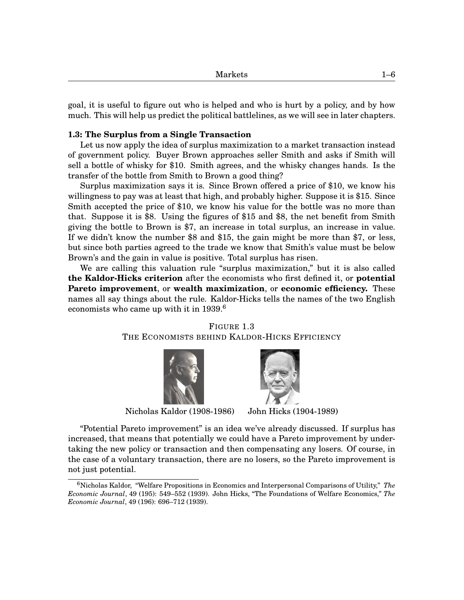| ັບພ<br>---- |  |
|-------------|--|
|             |  |

goal, it is useful to figure out who is helped and who is hurt by a policy, and by how much. This will help us predict the political battlelines, as we will see in later chapters.

#### **1.3: The Surplus from a Single Transaction**

Let us now apply the idea of surplus maximization to a market transaction instead of government policy. Buyer Brown approaches seller Smith and asks if Smith will sell a bottle of whisky for \$10. Smith agrees, and the whisky changes hands. Is the transfer of the bottle from Smith to Brown a good thing?

Surplus maximization says it is. Since Brown offered a price of \$10, we know his willingness to pay was at least that high, and probably higher. Suppose it is \$15. Since Smith accepted the price of \$10, we know his value for the bottle was no more than that. Suppose it is \$8. Using the figures of \$15 and \$8, the net benefit from Smith giving the bottle to Brown is \$7, an increase in total surplus, an increase in value. If we didn't know the number \$8 and \$15, the gain might be more than \$7, or less, but since both parties agreed to the trade we know that Smith's value must be below Brown's and the gain in value is positive. Total surplus has risen.

We are calling this valuation rule "surplus maximization," but it is also called **the Kaldor-Hicks criterion** after the economists who first defined it, or **potential Pareto improvement**, or **wealth maximization**, or **economic efficiency.** These names all say things about the rule. Kaldor-Hicks tells the names of the two English economists who came up with it in 1939.<sup>[6](#page-0-1)</sup>





<span id="page-5-0"></span>

Nicholas Kaldor (1908-1986) John Hicks (1904-1989)

"Potential Pareto improvement" is an idea we've already discussed. If surplus has increased, that means that potentially we could have a Pareto improvement by undertaking the new policy or transaction and then compensating any losers. Of course, in the case of a voluntary transaction, there are no losers, so the Pareto improvement is not just potential.

<sup>6</sup>Nicholas Kaldor, "Welfare Propositions in Economics and Interpersonal Comparisons of Utility," *The Economic Journal*, 49 (195): 549–552 (1939). John Hicks, "The Foundations of Welfare Economics," *The Economic Journal*, 49 (196): 696–712 (1939).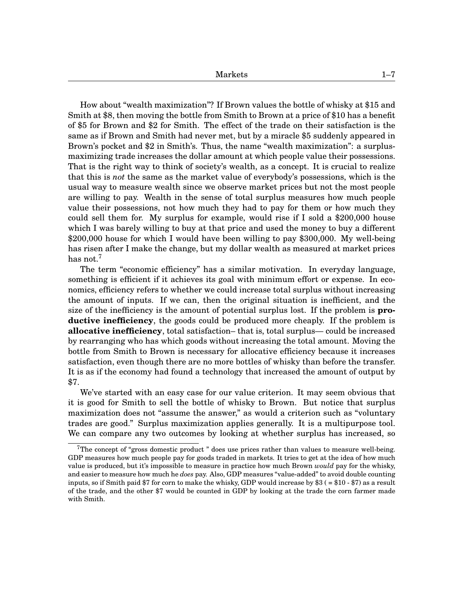How about "wealth maximization"? If Brown values the bottle of whisky at \$15 and Smith at \$8, then moving the bottle from Smith to Brown at a price of \$10 has a benefit of \$5 for Brown and \$2 for Smith. The effect of the trade on their satisfaction is the same as if Brown and Smith had never met, but by a miracle \$5 suddenly appeared in Brown's pocket and \$2 in Smith's. Thus, the name "wealth maximization": a surplusmaximizing trade increases the dollar amount at which people value their possessions. That is the right way to think of society's wealth, as a concept. It is crucial to realize that this is *not* the same as the market value of everybody's possessions, which is the usual way to measure wealth since we observe market prices but not the most people are willing to pay. Wealth in the sense of total surplus measures how much people value their possessions, not how much they had to pay for them or how much they could sell them for. My surplus for example, would rise if I sold a \$200,000 house which I was barely willing to buy at that price and used the money to buy a different \$200,000 house for which I would have been willing to pay \$300,000. My well-being has risen after I make the change, but my dollar wealth as measured at market prices has not.<sup>[7](#page-0-1)</sup>

The term "economic efficiency" has a similar motivation. In everyday language, something is efficient if it achieves its goal with minimum effort or expense. In economics, efficiency refers to whether we could increase total surplus without increasing the amount of inputs. If we can, then the original situation is inefficient, and the size of the inefficiency is the amount of potential surplus lost. If the problem is **productive inefficiency**, the goods could be produced more cheaply. If the problem is **allocative inefficiency**, total satisfaction– that is, total surplus— could be increased by rearranging who has which goods without increasing the total amount. Moving the bottle from Smith to Brown is necessary for allocative efficiency because it increases satisfaction, even though there are no more bottles of whisky than before the transfer. It is as if the economy had found a technology that increased the amount of output by \$7.

We've started with an easy case for our value criterion. It may seem obvious that it is good for Smith to sell the bottle of whisky to Brown. But notice that surplus maximization does not "assume the answer," as would a criterion such as "voluntary trades are good." Surplus maximization applies generally. It is a multipurpose tool. We can compare any two outcomes by looking at whether surplus has increased, so

<sup>&</sup>lt;sup>7</sup>The concept of "gross domestic product " does use prices rather than values to measure well-being. GDP measures how much people pay for goods traded in markets. It tries to get at the idea of how much value is produced, but it's impossible to measure in practice how much Brown *would* pay for the whisky, and easier to measure how much he *does* pay. Also, GDP measures "value-added" to avoid double counting inputs, so if Smith paid \$7 for corn to make the whisky, GDP would increase by \$3 ( = \$10 - \$7) as a result of the trade, and the other \$7 would be counted in GDP by looking at the trade the corn farmer made with Smith.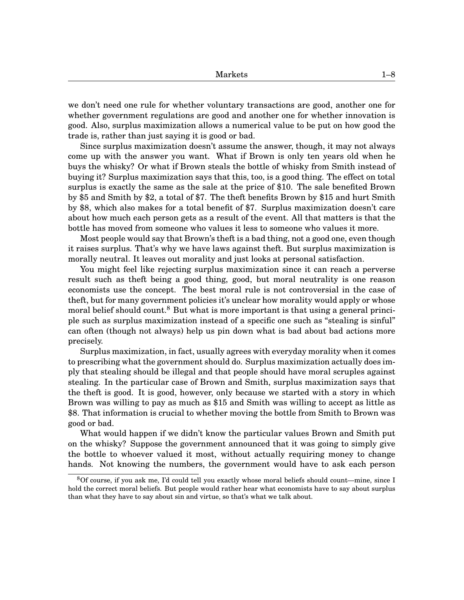we don't need one rule for whether voluntary transactions are good, another one for whether government regulations are good and another one for whether innovation is good. Also, surplus maximization allows a numerical value to be put on how good the trade is, rather than just saying it is good or bad.

Since surplus maximization doesn't assume the answer, though, it may not always come up with the answer you want. What if Brown is only ten years old when he buys the whisky? Or what if Brown steals the bottle of whisky from Smith instead of buying it? Surplus maximization says that this, too, is a good thing. The effect on total surplus is exactly the same as the sale at the price of \$10. The sale benefited Brown by \$5 and Smith by \$2, a total of \$7. The theft benefits Brown by \$15 and hurt Smith by \$8, which also makes for a total benefit of \$7. Surplus maximization doesn't care about how much each person gets as a result of the event. All that matters is that the bottle has moved from someone who values it less to someone who values it more.

Most people would say that Brown's theft is a bad thing, not a good one, even though it raises surplus. That's why we have laws against theft. But surplus maximization is morally neutral. It leaves out morality and just looks at personal satisfaction.

You might feel like rejecting surplus maximization since it can reach a perverse result such as theft being a good thing, good, but moral neutrality is one reason economists use the concept. The best moral rule is not controversial in the case of theft, but for many government policies it's unclear how morality would apply or whose moral belief should count.<sup>[8](#page-0-1)</sup> But what is more important is that using a general principle such as surplus maximization instead of a specific one such as "stealing is sinful" can often (though not always) help us pin down what is bad about bad actions more precisely.

Surplus maximization, in fact, usually agrees with everyday morality when it comes to prescribing what the government should do. Surplus maximization actually does imply that stealing should be illegal and that people should have moral scruples against stealing. In the particular case of Brown and Smith, surplus maximization says that the theft is good. It is good, however, only because we started with a story in which Brown was willing to pay as much as \$15 and Smith was willing to accept as little as \$8. That information is crucial to whether moving the bottle from Smith to Brown was good or bad.

What would happen if we didn't know the particular values Brown and Smith put on the whisky? Suppose the government announced that it was going to simply give the bottle to whoever valued it most, without actually requiring money to change hands. Not knowing the numbers, the government would have to ask each person

<sup>8</sup>Of course, if you ask me, I'd could tell you exactly whose moral beliefs should count—mine, since I hold the correct moral beliefs. But people would rather hear what economists have to say about surplus than what they have to say about sin and virtue, so that's what we talk about.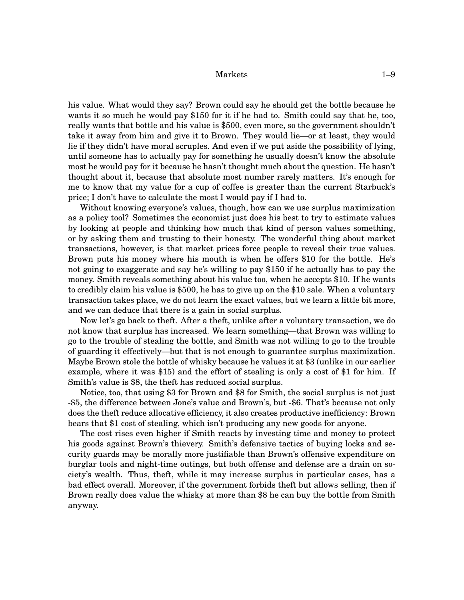his value. What would they say? Brown could say he should get the bottle because he wants it so much he would pay \$150 for it if he had to. Smith could say that he, too, really wants that bottle and his value is \$500, even more, so the government shouldn't take it away from him and give it to Brown. They would lie—or at least, they would lie if they didn't have moral scruples. And even if we put aside the possibility of lying, until someone has to actually pay for something he usually doesn't know the absolute most he would pay for it because he hasn't thought much about the question. He hasn't thought about it, because that absolute most number rarely matters. It's enough for me to know that my value for a cup of coffee is greater than the current Starbuck's price; I don't have to calculate the most I would pay if I had to.

Without knowing everyone's values, though, how can we use surplus maximization as a policy tool? Sometimes the economist just does his best to try to estimate values by looking at people and thinking how much that kind of person values something, or by asking them and trusting to their honesty. The wonderful thing about market transactions, however, is that market prices force people to reveal their true values. Brown puts his money where his mouth is when he offers \$10 for the bottle. He's not going to exaggerate and say he's willing to pay \$150 if he actually has to pay the money. Smith reveals something about his value too, when he accepts \$10. If he wants to credibly claim his value is \$500, he has to give up on the \$10 sale. When a voluntary transaction takes place, we do not learn the exact values, but we learn a little bit more, and we can deduce that there is a gain in social surplus.

Now let's go back to theft. After a theft, unlike after a voluntary transaction, we do not know that surplus has increased. We learn something—that Brown was willing to go to the trouble of stealing the bottle, and Smith was not willing to go to the trouble of guarding it effectively—but that is not enough to guarantee surplus maximization. Maybe Brown stole the bottle of whisky because he values it at \$3 (unlike in our earlier example, where it was \$15) and the effort of stealing is only a cost of \$1 for him. If Smith's value is \$8, the theft has reduced social surplus.

Notice, too, that using \$3 for Brown and \$8 for Smith, the social surplus is not just -\$5, the difference between Jone's value and Brown's, but -\$6. That's because not only does the theft reduce allocative efficiency, it also creates productive inefficiency: Brown bears that \$1 cost of stealing, which isn't producing any new goods for anyone.

The cost rises even higher if Smith reacts by investing time and money to protect his goods against Brown's thievery. Smith's defensive tactics of buying locks and security guards may be morally more justifiable than Brown's offensive expenditure on burglar tools and night-time outings, but both offense and defense are a drain on society's wealth. Thus, theft, while it may increase surplus in particular cases, has a bad effect overall. Moreover, if the government forbids theft but allows selling, then if Brown really does value the whisky at more than \$8 he can buy the bottle from Smith anyway.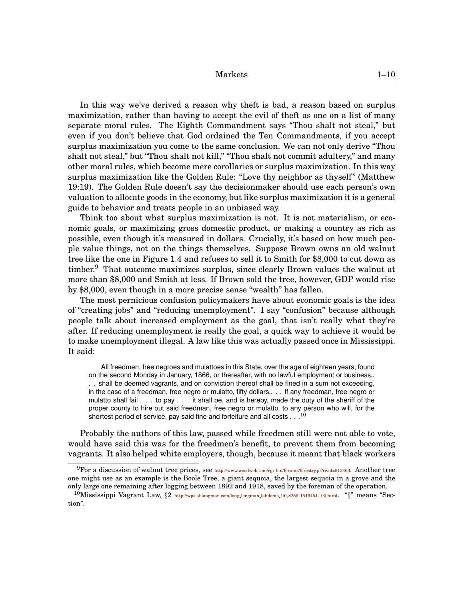In this way we've derived a reason why theft is bad, a reason based on surplus maximization, rather than having to accept the evil of theft as one on a list of many separate moral rules. The Eighth Commandment says "Thou shalt not steal," but even if you don't believe that God ordained the Ten Commandments, if you accept surplus maximization you come to the same conclusion. We can not only derive "Thou shalt not steal," but "Thou shalt not kill," "Thou shalt not commit adultery," and many other moral rules, which become mere corollaries or surplus maximization. In this way surplus maximization like the Golden Rule: "Love thy neighbor as thyself" (Matthew 19:19). The Golden Rule doesn't say the decisionmaker should use each person's own valuation to allocate goods in the economy, but like surplus maximization it is a general guide to behavior and treats people in an unbiased way.

Think too about what surplus maximization is not. It is not materialism, or economic goals, or maximizing gross domestic product, or making a country as rich as possible, even though it's measured in dollars. Crucially, it's based on how much people value things, not on the things themselves. Suppose Brown owns an old walnut tree like the one in Figure 1[.4](#page-11-0) and refuses to sell it to Smith for \$8,000 to cut down as timber.<sup>[9](#page-0-1)</sup> That outcome maximizes surplus, since clearly Brown values the walnut at more than \$8,000 and Smith at less. If Brown sold the tree, however, GDP would rise by \$8,000, even though in a more precise sense "wealth" has fallen.

The most pernicious confusion policymakers have about economic goals is the idea of "creating jobs" and "reducing unemployment". I say "confusion" because although people talk about increased employment as the goal, that isn't really what they're after. If reducing unemployment is really the goal, a quick way to achieve it would be to make unemployment illegal. A law like this was actually passed once in Mississippi. It said:

All freedmen, free negroes and mulattoes in this State, over the age of eighteen years, found on the second Monday in January, 1866, or thereafter, with no lawful employment or business,. . . shall be deemed vagrants, and on conviction thereof shall be fined in a sum not exceeding, in the case of a freedman, free negro or mulatto, fifty dollars,. . . If any freedman, free negro or mulatto shall fail . . . to pay . . . it shall be, and is hereby, made the duty of the sheriff of the proper county to hire out said freedman, free negro or mulatto, to any person who will, for the shortest period of service, pay said fine and forfeiture and all costs . . .

Probably the authors of this law, passed while freedmen still were not able to vote, would have said this was for the freedmen's benefit, to prevent them from becoming vagrants. It also helped white employers, though, because it meant that black workers

 $^{9}$ For a discussion of walnut tree prices, see <http://www.woodweb.com/cgi-bin/forums/forestry.pl?read=512463>. Another tree one might use as an example is the Boole Tree, a giant sequoia, the largest sequoia in a grove and the only large one remaining after logging between 1892 and 1918, saved by the foreman of the operation.

<sup>&</sup>lt;sup>10</sup>Mississippi Vagrant Law,  $\S2$  [http://wps.ablongman.com/long](http://wps.ablongman.com/long_longman_lahdemo_1/0,8259,1546454-,00.html).longman.lahdemo.1/0,8259,1546454-,00.html. " $\S$ " means "Section".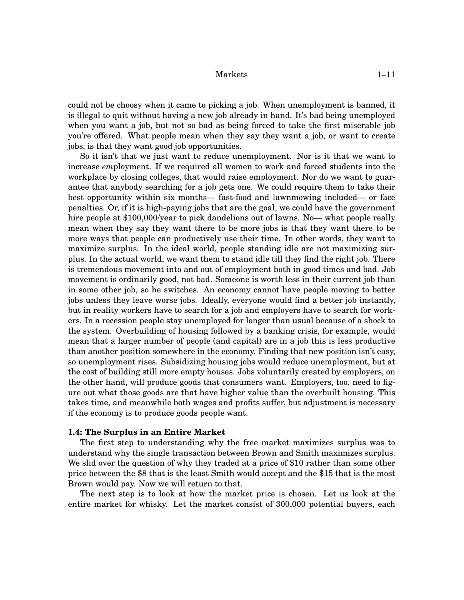could not be choosy when it came to picking a job. When unemployment is banned, it is illegal to quit without having a new job already in hand. It's bad being unemployed when you want a job, but not so bad as being forced to take the first miserable job you're offered. What people mean when they say they want a job, or want to create jobs, is that they want good job opportunities.

So it isn't that we just want to reduce unemployment. Nor is it that we want to increase *em*ployment. If we required all women to work and forced students into the workplace by closing colleges, that would raise employment. Nor do we want to guarantee that anybody searching for a job gets one. We could require them to take their best opportunity within six months— fast-food and lawnmowing included— or face penalties. Or, if it is high-paying jobs that are the goal, we could have the government hire people at \$100,000/year to pick dandelions out of lawns. No— what people really mean when they say they want there to be more jobs is that they want there to be more ways that people can productively use their time. In other words, they want to maximize surplus. In the ideal world, people standing idle are not maximizing surplus. In the actual world, we want them to stand idle till they find the right job. There is tremendous movement into and out of employment both in good times and bad. Job movement is ordinarily good, not bad. Someone is worth less in their current job than in some other job, so he switches. An economy cannot have people moving to better jobs unless they leave worse jobs. Ideally, everyone would find a better job instantly, but in reality workers have to search for a job and employers have to search for workers. In a recession people stay unemployed for longer than usual because of a shock to the system. Overbuilding of housing followed by a banking crisis, for example, would mean that a larger number of people (and capital) are in a job this is less productive than another position somewhere in the economy. Finding that new position isn't easy, so unemployment rises. Subsidizing housing jobs would reduce unemployment, but at the cost of building still more empty houses. Jobs voluntarily created by employers, on the other hand, will produce goods that consumers want. Employers, too, need to figure out what those goods are that have higher value than the overbuilt housing. This takes time, and meanwhile both wages and profits suffer, but adjustment is necessary if the economy is to produce goods people want.

#### **1.4: The Surplus in an Entire Market**

The first step to understanding why the free market maximizes surplus was to understand why the single transaction between Brown and Smith maximizes surplus. We slid over the question of why they traded at a price of \$10 rather than some other price between the \$8 that is the least Smith would accept and the \$15 that is the most Brown would pay. Now we will return to that.

The next step is to look at how the market price is chosen. Let us look at the entire market for whisky. Let the market consist of 300,000 potential buyers, each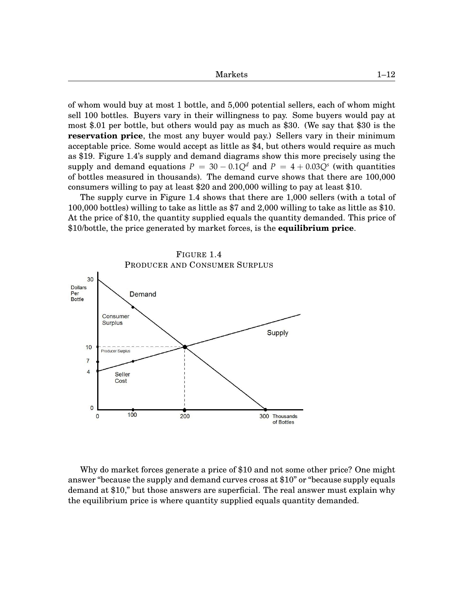| Markets                                                                               | $1 - 12$ |
|---------------------------------------------------------------------------------------|----------|
|                                                                                       |          |
|                                                                                       |          |
| of whom would buy at most 1 bottle, and 5,000 potential sellers, each of whom might   |          |
| sell 100 bottles. Buyers vary in their willingness to pay. Some buyers would pay at   |          |
| most \$.01 per bottle, but others would pay as much as \$30. (We say that \$30 is the |          |

**reservation price**, the most any buyer would pay.) Sellers vary in their minimum acceptable price. Some would accept as little as \$4, but others would require as much as \$19. Figure 1[.4'](#page-11-0)s supply and demand diagrams show this more precisely using the supply and demand equations  $P = 30 - 0.1Q^d$  and  $P = 4 + 0.03Q^s$  (with quantities of bottles measured in thousands). The demand curve shows that there are 100,000 consumers willing to pay at least \$20 and 200,000 willing to pay at least \$10.

The supply curve in Figure 1[.4](#page-11-0) shows that there are 1,000 sellers (with a total of 100,000 bottles) willing to take as little as \$7 and 2,000 willing to take as little as \$10. At the price of \$10, the quantity supplied equals the quantity demanded. This price of \$10/bottle, the price generated by market forces, is the **equilibrium price**.

<span id="page-11-0"></span>

Why do market forces generate a price of \$10 and not some other price? One might answer "because the supply and demand curves cross at \$10" or "because supply equals demand at \$10," but those answers are superficial. The real answer must explain why the equilibrium price is where quantity supplied equals quantity demanded.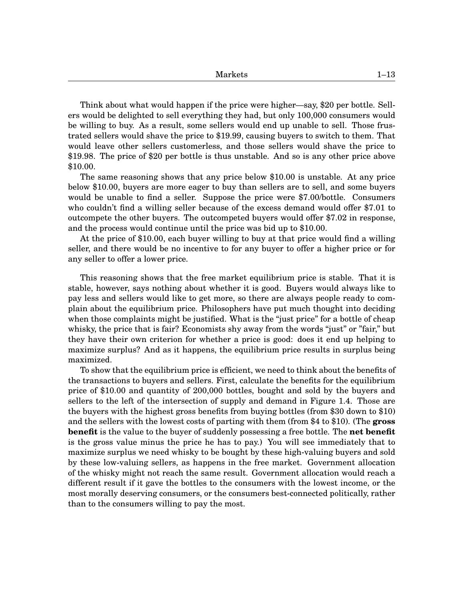Think about what would happen if the price were higher—say, \$20 per bottle. Sellers would be delighted to sell everything they had, but only 100,000 consumers would be willing to buy. As a result, some sellers would end up unable to sell. Those frustrated sellers would shave the price to \$19.99, causing buyers to switch to them. That would leave other sellers customerless, and those sellers would shave the price to \$19.98. The price of \$20 per bottle is thus unstable. And so is any other price above \$10.00.

The same reasoning shows that any price below \$10.00 is unstable. At any price below \$10.00, buyers are more eager to buy than sellers are to sell, and some buyers would be unable to find a seller. Suppose the price were \$7.00/bottle. Consumers who couldn't find a willing seller because of the excess demand would offer \$7.01 to outcompete the other buyers. The outcompeted buyers would offer \$7.02 in response, and the process would continue until the price was bid up to \$10.00.

At the price of \$10.00, each buyer willing to buy at that price would find a willing seller, and there would be no incentive to for any buyer to offer a higher price or for any seller to offer a lower price.

This reasoning shows that the free market equilibrium price is stable. That it is stable, however, says nothing about whether it is good. Buyers would always like to pay less and sellers would like to get more, so there are always people ready to complain about the equilibrium price. Philosophers have put much thought into deciding when those complaints might be justified. What is the "just price" for a bottle of cheap whisky, the price that is fair? Economists shy away from the words "just" or "fair," but they have their own criterion for whether a price is good: does it end up helping to maximize surplus? And as it happens, the equilibrium price results in surplus being maximized.

To show that the equilibrium price is efficient, we need to think about the benefits of the transactions to buyers and sellers. First, calculate the benefits for the equilibrium price of \$10.00 and quantity of 200,000 bottles, bought and sold by the buyers and sellers to the left of the intersection of supply and demand in Figure 1[.4.](#page-11-0) Those are the buyers with the highest gross benefits from buying bottles (from \$30 down to \$10) and the sellers with the lowest costs of parting with them (from \$4 to \$10). (The **gross benefit** is the value to the buyer of suddenly possessing a free bottle. The **net benefit** is the gross value minus the price he has to pay.) You will see immediately that to maximize surplus we need whisky to be bought by these high-valuing buyers and sold by these low-valuing sellers, as happens in the free market. Government allocation of the whisky might not reach the same result. Government allocation would reach a different result if it gave the bottles to the consumers with the lowest income, or the most morally deserving consumers, or the consumers best-connected politically, rather than to the consumers willing to pay the most.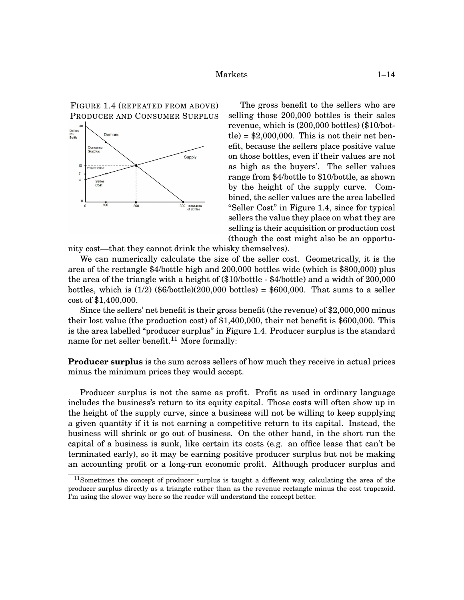FIGURE 1[.4](#page-11-0) (REPEATED FROM ABOVE) PRODUCER AND CONSUMER SURPLUS



The gross benefit to the sellers who are selling those 200,000 bottles is their sales revenue, which is (200,000 bottles) (\$10/bottle) =  $$2,000,000$ . This is not their net benefit, because the sellers place positive value on those bottles, even if their values are not as high as the buyers'. The seller values range from \$4/bottle to \$10/bottle, as shown by the height of the supply curve. Combined, the seller values are the area labelled "Seller Cost" in Figure 1[.4,](#page-11-0) since for typical sellers the value they place on what they are selling is their acquisition or production cost (though the cost might also be an opportu-

nity cost—that they cannot drink the whisky themselves).

We can numerically calculate the size of the seller cost. Geometrically, it is the area of the rectangle \$4/bottle high and 200,000 bottles wide (which is \$800,000) plus the area of the triangle with a height of (\$10/bottle - \$4/bottle) and a width of 200,000 bottles, which is  $(1/2)$  (\$6/bottle) $(200,000)$  bottles) = \$600,000. That sums to a seller cost of \$1,400,000.

Since the sellers' net benefit is their gross benefit (the revenue) of \$2,000,000 minus their lost value (the production cost) of \$1,400,000, their net benefit is \$600,000. This is the area labelled "producer surplus" in Figure 1[.4.](#page-11-0) Producer surplus is the standard name for net seller benefit.<sup>[11](#page-0-1)</sup> More formally:

**Producer surplus** is the sum across sellers of how much they receive in actual prices minus the minimum prices they would accept.

Producer surplus is not the same as profit. Profit as used in ordinary language includes the business's return to its equity capital. Those costs will often show up in the height of the supply curve, since a business will not be willing to keep supplying a given quantity if it is not earning a competitive return to its capital. Instead, the business will shrink or go out of business. On the other hand, in the short run the capital of a business is sunk, like certain its costs (e.g. an office lease that can't be terminated early), so it may be earning positive producer surplus but not be making an accounting profit or a long-run economic profit. Although producer surplus and

 $11$ Sometimes the concept of producer surplus is taught a different way, calculating the area of the producer surplus directly as a triangle rather than as the revenue rectangle minus the cost trapezoid. I'm using the slower way here so the reader will understand the concept better.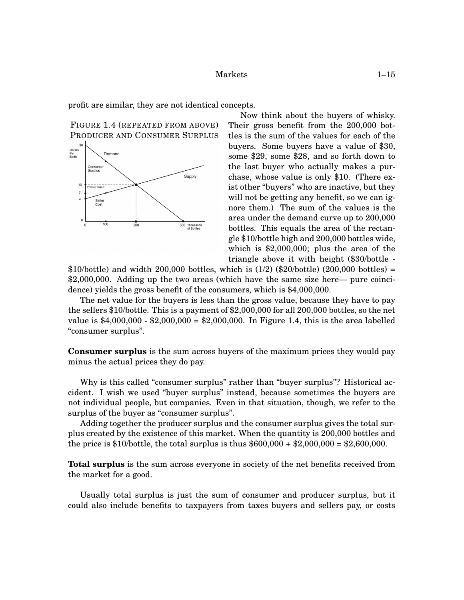profit are similar, they are not identical concepts.

FIGURE 1[.4](#page-11-0) (REPEATED FROM ABOVE) PRODUCER AND CONSUMER SURPLUS



Now think about the buyers of whisky. Their gross benefit from the 200,000 bottles is the sum of the values for each of the buyers. Some buyers have a value of \$30, some \$29, some \$28, and so forth down to the last buyer who actually makes a purchase, whose value is only \$10. (There exist other "buyers" who are inactive, but they will not be getting any benefit, so we can ignore them.) The sum of the values is the area under the demand curve up to 200,000 bottles. This equals the area of the rectangle \$10/bottle high and 200,000 bottles wide, which is \$2,000,000; plus the area of the triangle above it with height (\$30/bottle -

\$10/bottle) and width 200,000 bottles, which is  $(1/2)$  (\$20/bottle) (200,000 bottles) = \$2,000,000. Adding up the two areas (which have the same size here— pure coincidence) yields the gross benefit of the consumers, which is \$4,000,000.

The net value for the buyers is less than the gross value, because they have to pay the sellers \$10/bottle. This is a payment of \$2,000,000 for all 200,000 bottles, so the net value is \$4,000,000 - \$2,000,000 = \$2,000,000. In Figure 1[.4,](#page-11-0) this is the area labelled "consumer surplus".

**Consumer surplus** is the sum across buyers of the maximum prices they would pay minus the actual prices they do pay.

Why is this called "consumer surplus" rather than "buyer surplus"? Historical accident. I wish we used "buyer surplus" instead, because sometimes the buyers are not individual people, but companies. Even in that situation, though, we refer to the surplus of the buyer as "consumer surplus".

Adding together the producer surplus and the consumer surplus gives the total surplus created by the existence of this market. When the quantity is 200,000 bottles and the price is \$10/bottle, the total surplus is thus  $$600,000 + $2,000,000 = $2,600,000$ .

**Total surplus** is the sum across everyone in society of the net benefits received from the market for a good.

Usually total surplus is just the sum of consumer and producer surplus, but it could also include benefits to taxpayers from taxes buyers and sellers pay, or costs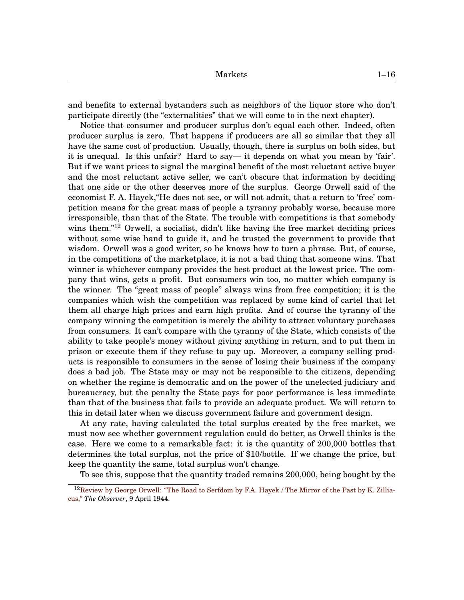and benefits to external bystanders such as neighbors of the liquor store who don't participate directly (the "externalities" that we will come to in the next chapter).

Notice that consumer and producer surplus don't equal each other. Indeed, often producer surplus is zero. That happens if producers are all so similar that they all have the same cost of production. Usually, though, there is surplus on both sides, but it is unequal. Is this unfair? Hard to say— it depends on what you mean by 'fair'. But if we want prices to signal the marginal benefit of the most reluctant active buyer and the most reluctant active seller, we can't obscure that information by deciding that one side or the other deserves more of the surplus. George Orwell said of the economist F. A. Hayek,"He does not see, or will not admit, that a return to 'free' competition means for the great mass of people a tyranny probably worse, because more irresponsible, than that of the State. The trouble with competitions is that somebody wins them."[12](#page-0-1) Orwell, a socialist, didn't like having the free market deciding prices without some wise hand to guide it, and he trusted the government to provide that wisdom. Orwell was a good writer, so he knows how to turn a phrase. But, of course, in the competitions of the marketplace, it is not a bad thing that someone wins. That winner is whichever company provides the best product at the lowest price. The company that wins, gets a profit. But consumers win too, no matter which company is the winner. The "great mass of people" always wins from free competition; it is the companies which wish the competition was replaced by some kind of cartel that let them all charge high prices and earn high profits. And of course the tyranny of the company winning the competition is merely the ability to attract voluntary purchases from consumers. It can't compare with the tyranny of the State, which consists of the ability to take people's money without giving anything in return, and to put them in prison or execute them if they refuse to pay up. Moreover, a company selling products is responsible to consumers in the sense of losing their business if the company does a bad job. The State may or may not be responsible to the citizens, depending on whether the regime is democratic and on the power of the unelected judiciary and bureaucracy, but the penalty the State pays for poor performance is less immediate than that of the business that fails to provide an adequate product. We will return to this in detail later when we discuss government failure and government design.

At any rate, having calculated the total surplus created by the free market, we must now see whether government regulation could do better, as Orwell thinks is the case. Here we come to a remarkable fact: it is the quantity of 200,000 bottles that determines the total surplus, not the price of \$10/bottle. If we change the price, but keep the quantity the same, total surplus won't change.

To see this, suppose that the quantity traded remains 200,000, being bought by the

<sup>&</sup>lt;sup>12</sup>[Review by George Orwell: "The Road to Serfdom by F.A. Hayek / The Mirror of the Past by K. Zillia](http://thomasgwyndunbar.wordpress.com/2008/10/09/george-orwell-review/)[cus,"](http://thomasgwyndunbar.wordpress.com/2008/10/09/george-orwell-review/) *The Observer*, 9 April 1944.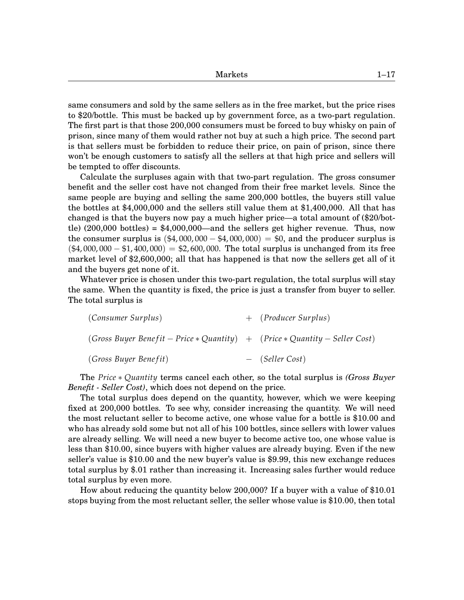same consumers and sold by the same sellers as in the free market, but the price rises to \$20/bottle. This must be backed up by government force, as a two-part regulation. The first part is that those 200,000 consumers must be forced to buy whisky on pain of prison, since many of them would rather not buy at such a high price. The second part is that sellers must be forbidden to reduce their price, on pain of prison, since there won't be enough customers to satisfy all the sellers at that high price and sellers will be tempted to offer discounts.

Calculate the surpluses again with that two-part regulation. The gross consumer benefit and the seller cost have not changed from their free market levels. Since the same people are buying and selling the same 200,000 bottles, the buyers still value the bottles at \$4,000,000 and the sellers still value them at \$1,400,000. All that has changed is that the buyers now pay a much higher price—a total amount of (\$20/bottle) (200,000 bottles) = \$4,000,000—and the sellers get higher revenue. Thus, now the consumer surplus is  $(\$4,000,000 - \$4,000,000) = \$0$ , and the producer surplus is  $(*4,000,000 - $1,400,000) = $2,600,000$ . The total surplus is unchanged from its free market level of \$2,600,000; all that has happened is that now the sellers get all of it and the buyers get none of it.

Whatever price is chosen under this two-part regulation, the total surplus will stay the same. When the quantity is fixed, the price is just a transfer from buyer to seller. The total surplus is

| (Consumer Surplus)                                                          | + (Producer Surplus) |
|-----------------------------------------------------------------------------|----------------------|
| (Gross Buyer Benefit – Price * Quantity) + (Price * Quantity – Seller Cost) |                      |
| (Gross Buyer Benefit)                                                       | $-$ (Seller Cost)    |

The *Price* ∗ *Quantity* terms cancel each other, so the total surplus is *(Gross Buyer Benefit - Seller Cost)*, which does not depend on the price.

The total surplus does depend on the quantity, however, which we were keeping fixed at 200,000 bottles. To see why, consider increasing the quantity. We will need the most reluctant seller to become active, one whose value for a bottle is \$10.00 and who has already sold some but not all of his 100 bottles, since sellers with lower values are already selling. We will need a new buyer to become active too, one whose value is less than \$10.00, since buyers with higher values are already buying. Even if the new seller's value is \$10.00 and the new buyer's value is \$9.99, this new exchange reduces total surplus by \$.01 rather than increasing it. Increasing sales further would reduce total surplus by even more.

How about reducing the quantity below 200,000? If a buyer with a value of \$10.01 stops buying from the most reluctant seller, the seller whose value is \$10.00, then total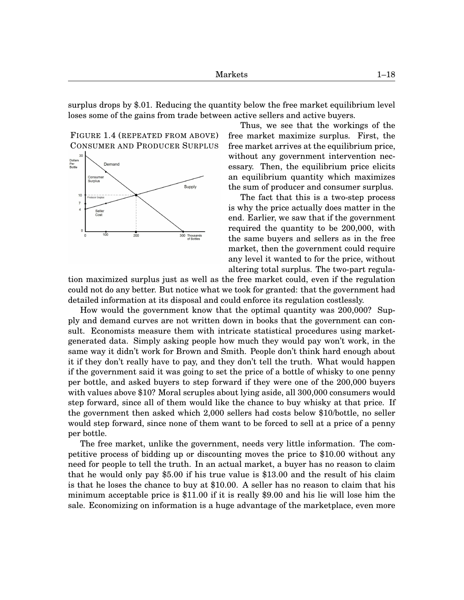surplus drops by \$.01. Reducing the quantity below the free market equilibrium level loses some of the gains from trade between active sellers and active buyers.

FIGURE 1[.4](#page-11-0) (REPEATED FROM ABOVE) CONSUMER AND PRODUCER SURPLUS



Thus, we see that the workings of the free market maximize surplus. First, the free market arrives at the equilibrium price, without any government intervention necessary. Then, the equilibrium price elicits an equilibrium quantity which maximizes the sum of producer and consumer surplus.

The fact that this is a two-step process is why the price actually does matter in the end. Earlier, we saw that if the government required the quantity to be 200,000, with the same buyers and sellers as in the free market, then the government could require any level it wanted to for the price, without altering total surplus. The two-part regula-

tion maximized surplus just as well as the free market could, even if the regulation could not do any better. But notice what we took for granted: that the government had detailed information at its disposal and could enforce its regulation costlessly.

How would the government know that the optimal quantity was 200,000? Supply and demand curves are not written down in books that the government can consult. Economists measure them with intricate statistical procedures using marketgenerated data. Simply asking people how much they would pay won't work, in the same way it didn't work for Brown and Smith. People don't think hard enough about it if they don't really have to pay, and they don't tell the truth. What would happen if the government said it was going to set the price of a bottle of whisky to one penny per bottle, and asked buyers to step forward if they were one of the 200,000 buyers with values above \$10? Moral scruples about lying aside, all 300,000 consumers would step forward, since all of them would like the chance to buy whisky at that price. If the government then asked which 2,000 sellers had costs below \$10/bottle, no seller would step forward, since none of them want to be forced to sell at a price of a penny per bottle.

The free market, unlike the government, needs very little information. The competitive process of bidding up or discounting moves the price to \$10.00 without any need for people to tell the truth. In an actual market, a buyer has no reason to claim that he would only pay \$5.00 if his true value is \$13.00 and the result of his claim is that he loses the chance to buy at \$10.00. A seller has no reason to claim that his minimum acceptable price is \$11.00 if it is really \$9.00 and his lie will lose him the sale. Economizing on information is a huge advantage of the marketplace, even more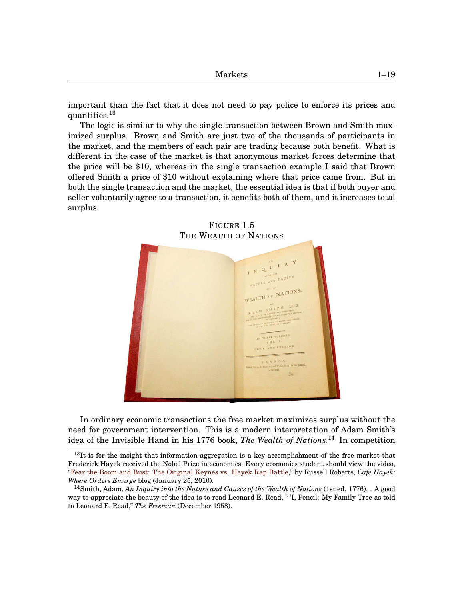important than the fact that it does not need to pay police to enforce its prices and quantities.[13](#page-0-1)

The logic is similar to why the single transaction between Brown and Smith maximized surplus. Brown and Smith are just two of the thousands of participants in the market, and the members of each pair are trading because both benefit. What is different in the case of the market is that anonymous market forces determine that the price will be \$10, whereas in the single transaction example I said that Brown offered Smith a price of \$10 without explaining where that price came from. But in both the single transaction and the market, the essential idea is that if both buyer and seller voluntarily agree to a transaction, it benefits both of them, and it increases total surplus.

<span id="page-18-0"></span>

# FIGURE 1[.5](#page-18-0)

In ordinary economic transactions the free market maximizes surplus without the need for government intervention. This is a modern interpretation of Adam Smith's idea of the I ¯ nvisible Hand in his 1776 book, *The Wealth of Nations.*[14](#page-0-1) In competition

 $13$ It is for the insight that information aggregation is a key accomplishment of the free market that Frederick Hayek received the Nobel Prize in economics. Every economics student should view the video, ["Fear the Boom and Bust: The Original Keynes vs. Hayek Rap Battle,](http://cafehayek.com/2010/01/keynes-vs-hayek-rap-video.html)" by Russell Roberts, *Cafe Hayek: Where Orders Emerge* blog (January 25, 2010).

<sup>14</sup>Smith, Adam, *An Inquiry into the Nature and Causes of the Wealth of Nations* (1st ed. 1776). . A good way to appreciate the beauty of the idea is to read Leonard E. Read, " 'I, Pencil: My Family Tree as told to Leonard E. Read," *The Freeman* (December 1958).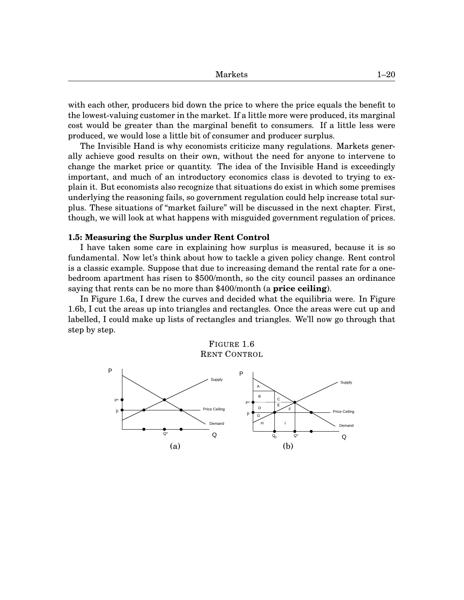| <b>Markets</b> | $1 - 20$ |
|----------------|----------|
|----------------|----------|

with each other, producers bid down the price to where the price equals the benefit to the lowest-valuing customer in the market. If a little more were produced, its marginal cost would be greater than the marginal benefit to consumers. If a little less were produced, we would lose a little bit of consumer and producer surplus.

The Invisible Hand is why economists criticize many regulations. Markets generally achieve good results on their own, without the need for anyone to intervene to change the market price or quantity. The idea of the Invisible Hand is exceedingly important, and much of an introductory economics class is devoted to trying to explain it. But economists also recognize that situations do exist in which some premises underlying the reasoning fails, so government regulation could help increase total surplus. These situations of "market failure" will be discussed in the next chapter. First, though, we will look at what happens with misguided government regulation of prices.

#### **1.5: Measuring the Surplus under Rent Control**

I have taken some care in explaining how surplus is measured, because it is so fundamental. Now let's think about how to tackle a given policy change. Rent control is a classic example. Suppose that due to increasing demand the rental rate for a onebedroom apartment has risen to \$500/month, so the city council passes an ordinance saying that rents can be no more than \$400/month (a **price ceiling**).

In Figure 1[.6a](#page-19-0), I drew the curves and decided what the equilibria were. In Figure 1[.6b](#page-19-0), I cut the areas up into triangles and rectangles. Once the areas were cut up and labelled, I could make up lists of rectangles and triangles. We'll now go through that step by step.



<span id="page-19-0"></span>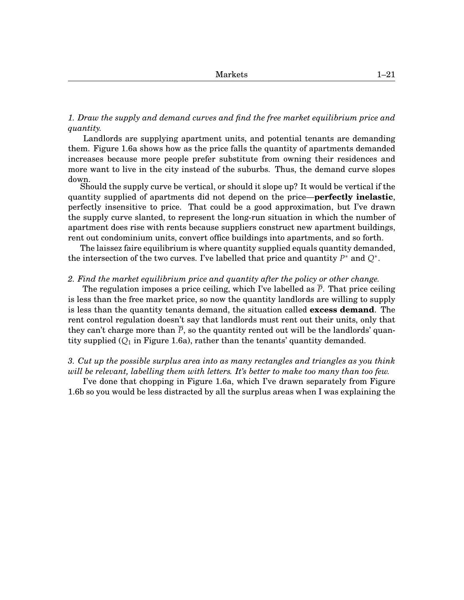*1. Draw the supply and demand curves and find the free market equilibrium price and quantity.*

Landlords are supplying apartment units, and potential tenants are demanding them. Figure 1[.6a](#page-19-0) shows how as the price falls the quantity of apartments demanded increases because more people prefer substitute from owning their residences and more want to live in the city instead of the suburbs. Thus, the demand curve slopes down.

Should the supply curve be vertical, or should it slope up? It would be vertical if the quantity supplied of apartments did not depend on the price—**perfectly inelastic**, perfectly insensitive to price. That could be a good approximation, but I've drawn the supply curve slanted, to represent the long-run situation in which the number of apartment does rise with rents because suppliers construct new apartment buildings, rent out condominium units, convert office buildings into apartments, and so forth.

The laissez faire equilibrium is where quantity supplied equals quantity demanded, the intersection of the two curves. I've labelled that price and quantity  $P^*$  and  $Q^*$ .

#### *2. Find the market equilibrium price and quantity after the policy or other change.*

The regulation imposes a price ceiling, which I've labelled as *P*. That price ceiling is less than the free market price, so now the quantity landlords are willing to supply is less than the quantity tenants demand, the situation called **excess demand**. The rent control regulation doesn't say that landlords must rent out their units, only that they can't charge more than  $\overline{P}$ , so the quantity rented out will be the landlords' quantity supplied  $(Q_1)$  in Figure 1[.6a](#page-19-0)), rather than the tenants' quantity demanded.

*3. Cut up the possible surplus area into as many rectangles and triangles as you think will be relevant, labelling them with letters. It's better to make too many than too few.*

I've done that chopping in Figure 1[.6a](#page-19-0), which I've drawn separately from Figure 1[.6b](#page-19-0) so you would be less distracted by all the surplus areas when I was explaining the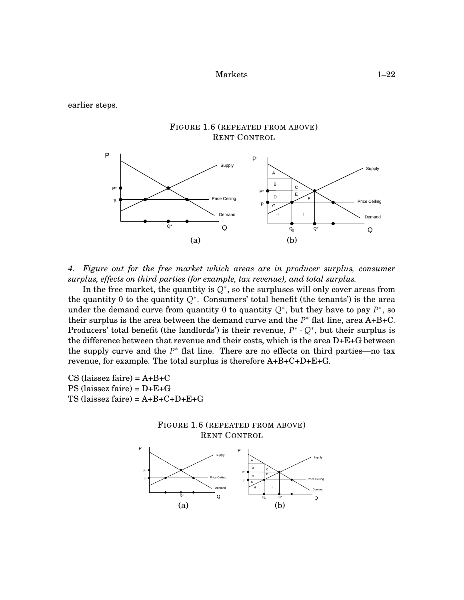earlier steps.



*4. Figure out for the free market which areas are in producer surplus, consumer surplus, effects on third parties (for example, tax revenue), and total surplus.*

In the free market, the quantity is  $Q^*$ , so the surpluses will only cover areas from the quantity 0 to the quantity *Q*<sup>∗</sup> . Consumers' total benefit (the tenants') is the area under the demand curve from quantity 0 to quantity  $Q^*$ , but they have to pay  $P^*$ , so their surplus is the area between the demand curve and the  $P^*$  flat line, area A+B+C. Producers' total benefit (the landlords') is their revenue,  $P^* \cdot Q^*$ , but their surplus is the difference between that revenue and their costs, which is the area D+E+G between the supply curve and the *P* <sup>∗</sup> flat line. There are no effects on third parties—no tax revenue, for example. The total surplus is therefore A+B+C+D+E+G.

CS (laissez faire) =  $A+B+C$ PS (laissez faire) = D+E+G TS (laissez faire) =  $A+B+C+D+E+G$ 



 $(a)$  (b)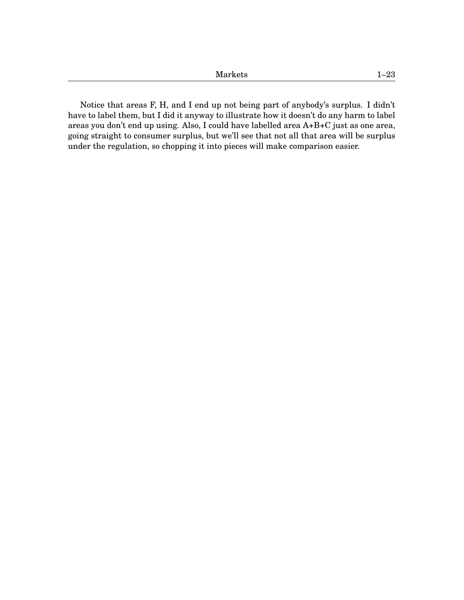| RГ<br>ラレコ<br>---<br>----- | ı. |
|---------------------------|----|
|                           |    |

Notice that areas F, H, and I end up not being part of anybody's surplus. I didn't have to label them, but I did it anyway to illustrate how it doesn't do any harm to label areas you don't end up using. Also, I could have labelled area A+B+C just as one area, going straight to consumer surplus, but we'll see that not all that area will be surplus under the regulation, so chopping it into pieces will make comparison easier.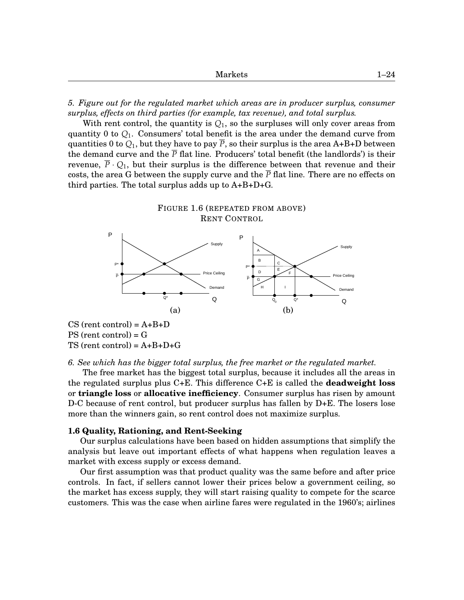| $1 - 24$ |  |
|----------|--|
|          |  |

*5. Figure out for the regulated market which areas are in producer surplus, consumer surplus, effects on third parties (for example, tax revenue), and total surplus.*

With rent control, the quantity is  $Q_1$ , so the surpluses will only cover areas from quantity 0 to *Q*1. Consumers' total benefit is the area under the demand curve from quantities 0 to  $Q_1$ , but they have to pay  $\overline{P}$ , so their surplus is the area A+B+D between the demand curve and the  $\bar{P}$  flat line. Producers' total benefit (the landlords') is their revenue,  $\overline{P} \cdot Q_1$ , but their surplus is the difference between that revenue and their costs, the area G between the supply curve and the  $\overline{P}$  flat line. There are no effects on third parties. The total surplus adds up to  $A+B+D+G$ .



*6. See which has the bigger total surplus, the free market or the regulated market.*

The free market has the biggest total surplus, because it includes all the areas in the regulated surplus plus C+E. This difference C+E is called the **deadweight loss** or **triangle loss** or **allocative inefficiency**. Consumer surplus has risen by amount D-C because of rent control, but producer surplus has fallen by D+E. The losers lose more than the winners gain, so rent control does not maximize surplus.

#### **1.6 Quality, Rationing, and Rent-Seeking**

Our surplus calculations have been based on hidden assumptions that simplify the analysis but leave out important effects of what happens when regulation leaves a market with excess supply or excess demand.

Our first assumption was that product quality was the same before and after price controls. In fact, if sellers cannot lower their prices below a government ceiling, so the market has excess supply, they will start raising quality to compete for the scarce customers. This was the case when airline fares were regulated in the 1960's; airlines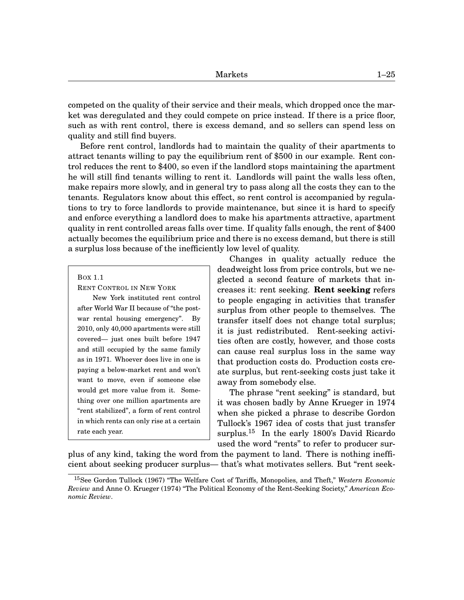competed on the quality of their service and their meals, which dropped once the market was deregulated and they could compete on price instead. If there is a price floor, such as with rent control, there is excess demand, and so sellers can spend less on quality and still find buyers.

Before rent control, landlords had to maintain the quality of their apartments to attract tenants willing to pay the equilibrium rent of \$500 in our example. Rent control reduces the rent to \$400, so even if the landlord stops maintaining the apartment he will still find tenants willing to rent it. Landlords will paint the walls less often, make repairs more slowly, and in general try to pass along all the costs they can to the tenants. Regulators know about this effect, so rent control is accompanied by regulations to try to force landlords to provide maintenance, but since it is hard to specify and enforce everything a landlord does to make his apartments attractive, apartment quality in rent controlled areas falls over time. If quality falls enough, the rent of \$400 actually becomes the equilibrium price and there is no excess demand, but there is still a surplus loss because of the inefficiently low level of quality.

BOX 1.1

RENT CONTROL IN NEW YORK

New York instituted rent control after World War II because of "the postwar rental housing emergency". By 2010, only 40,000 apartments were still covered— just ones built before 1947 and still occupied by the same family as in 1971. Whoever does live in one is paying a below-market rent and won't want to move, even if someone else would get more value from it. Something over one million apartments are "rent stabilized", a form of rent control in which rents can only rise at a certain rate each year.

Changes in quality actually reduce the deadweight loss from price controls, but we neglected a second feature of markets that increases it: rent seeking. **Rent seeking** refers to people engaging in activities that transfer surplus from other people to themselves. The transfer itself does not change total surplus; it is just redistributed. Rent-seeking activities often are costly, however, and those costs can cause real surplus loss in the same way that production costs do. Production costs create surplus, but rent-seeking costs just take it away from somebody else.

The phrase "rent seeking" is standard, but it was chosen badly by Anne Krueger in 1974 when she picked a phrase to describe Gordon Tullock's 1967 idea of costs that just transfer surplus.<sup>[15](#page-0-1)</sup> In the early 1800's David Ricardo used the word "rents" to refer to producer sur-

plus of any kind, taking the word from the payment to land. There is nothing inefficient about seeking producer surplus— that's what motivates sellers. But "rent seek-

<sup>15</sup>See Gordon Tullock (1967) "The Welfare Cost of Tariffs, Monopolies, and Theft," *Western Economic Review* and Anne O. Krueger (1974) "The Political Economy of the Rent-Seeking Society," *American Economic Review*.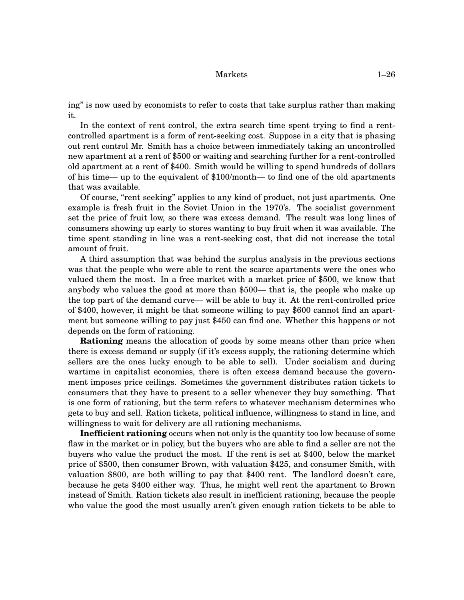ing" is now used by economists to refer to costs that take surplus rather than making it.

In the context of rent control, the extra search time spent trying to find a rentcontrolled apartment is a form of rent-seeking cost. Suppose in a city that is phasing out rent control Mr. Smith has a choice between immediately taking an uncontrolled new apartment at a rent of \$500 or waiting and searching further for a rent-controlled old apartment at a rent of \$400. Smith would be willing to spend hundreds of dollars of his time— up to the equivalent of \$100/month— to find one of the old apartments that was available.

Of course, "rent seeking" applies to any kind of product, not just apartments. One example is fresh fruit in the Soviet Union in the 1970's. The socialist government set the price of fruit low, so there was excess demand. The result was long lines of consumers showing up early to stores wanting to buy fruit when it was available. The time spent standing in line was a rent-seeking cost, that did not increase the total amount of fruit.

A third assumption that was behind the surplus analysis in the previous sections was that the people who were able to rent the scarce apartments were the ones who valued them the most. In a free market with a market price of \$500, we know that anybody who values the good at more than \$500— that is, the people who make up the top part of the demand curve— will be able to buy it. At the rent-controlled price of \$400, however, it might be that someone willing to pay \$600 cannot find an apartment but someone willing to pay just \$450 can find one. Whether this happens or not depends on the form of rationing.

**Rationing** means the allocation of goods by some means other than price when there is excess demand or supply (if it's excess supply, the rationing determine which sellers are the ones lucky enough to be able to sell). Under socialism and during wartime in capitalist economies, there is often excess demand because the government imposes price ceilings. Sometimes the government distributes ration tickets to consumers that they have to present to a seller whenever they buy something. That is one form of rationing, but the term refers to whatever mechanism determines who gets to buy and sell. Ration tickets, political influence, willingness to stand in line, and willingness to wait for delivery are all rationing mechanisms.

**Inefficient rationing** occurs when not only is the quantity too low because of some flaw in the market or in policy, but the buyers who are able to find a seller are not the buyers who value the product the most. If the rent is set at \$400, below the market price of \$500, then consumer Brown, with valuation \$425, and consumer Smith, with valuation \$800, are both willing to pay that \$400 rent. The landlord doesn't care, because he gets \$400 either way. Thus, he might well rent the apartment to Brown instead of Smith. Ration tickets also result in inefficient rationing, because the people who value the good the most usually aren't given enough ration tickets to be able to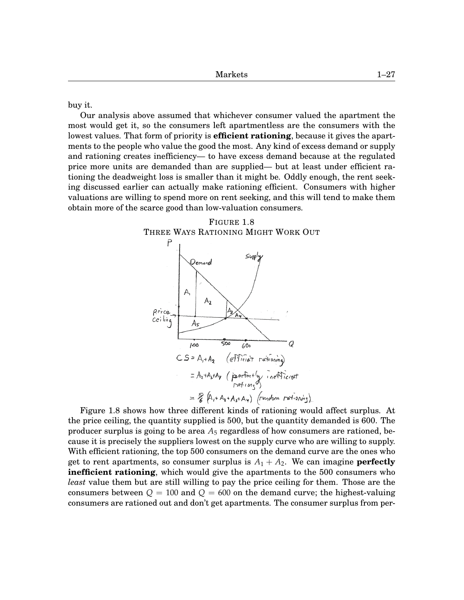buy it.

Our analysis above assumed that whichever consumer valued the apartment the most would get it, so the consumers left apartmentless are the consumers with the lowest values. That form of priority is **efficient rationing**, because it gives the apartments to the people who value the good the most. Any kind of excess demand or supply and rationing creates inefficiency— to have excess demand because at the regulated price more units are demanded than are supplied— but at least under efficient rationing the deadweight loss is smaller than it might be. Oddly enough, the rent seeking discussed earlier can actually make rationing efficient. Consumers with higher valuations are willing to spend more on rent seeking, and this will tend to make them obtain more of the scarce good than low-valuation consumers.



Figure 1.8 shows how three different kinds of rationing would affect surplus. At the price ceiling, the quantity supplied is 500, but the quantity demanded is 600. The producer surplus is going to be area  $A_5$  regardless of how consumers are rationed, because it is precisely the suppliers lowest on the supply curve who are willing to supply. With efficient rationing, the top 500 consumers on the demand curve are the ones who get to rent apartments, so consumer surplus is  $A_1 + A_2$ . We can imagine **perfectly inefficient rationing**, which would give the apartments to the 500 consumers who *least* value them but are still willing to pay the price ceiling for them. Those are the consumers between  $Q = 100$  and  $Q = 600$  on the demand curve; the highest-valuing consumers are rationed out and don't get apartments. The consumer surplus from per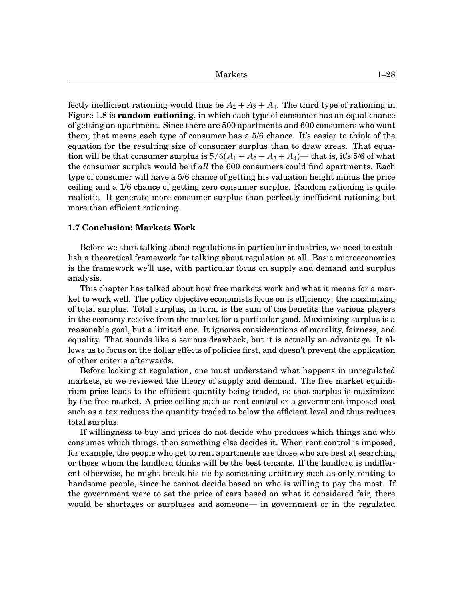Markets [1–](#page-0-0)28

fectly inefficient rationing would thus be  $A_2 + A_3 + A_4$ . The third type of rationing in Figure 1.8 is **random rationing**, in which each type of consumer has an equal chance of getting an apartment. Since there are 500 apartments and 600 consumers who want them, that means each type of consumer has a 5/6 chance. It's easier to think of the equation for the resulting size of consumer surplus than to draw areas. That equation will be that consumer surplus is  $5/6(A_1 + A_2 + A_3 + A_4)$ — that is, it's 5/6 of what the consumer surplus would be if *all* the 600 consumers could find apartments. Each type of consumer will have a 5/6 chance of getting his valuation height minus the price ceiling and a 1/6 chance of getting zero consumer surplus. Random rationing is quite realistic. It generate more consumer surplus than perfectly inefficient rationing but more than efficient rationing.

#### **1.7 Conclusion: Markets Work**

Before we start talking about regulations in particular industries, we need to establish a theoretical framework for talking about regulation at all. Basic microeconomics is the framework we'll use, with particular focus on supply and demand and surplus analysis.

This chapter has talked about how free markets work and what it means for a market to work well. The policy objective economists focus on is efficiency: the maximizing of total surplus. Total surplus, in turn, is the sum of the benefits the various players in the economy receive from the market for a particular good. Maximizing surplus is a reasonable goal, but a limited one. It ignores considerations of morality, fairness, and equality. That sounds like a serious drawback, but it is actually an advantage. It allows us to focus on the dollar effects of policies first, and doesn't prevent the application of other criteria afterwards.

Before looking at regulation, one must understand what happens in unregulated markets, so we reviewed the theory of supply and demand. The free market equilibrium price leads to the efficient quantity being traded, so that surplus is maximized by the free market. A price ceiling such as rent control or a government-imposed cost such as a tax reduces the quantity traded to below the efficient level and thus reduces total surplus.

If willingness to buy and prices do not decide who produces which things and who consumes which things, then something else decides it. When rent control is imposed, for example, the people who get to rent apartments are those who are best at searching or those whom the landlord thinks will be the best tenants. If the landlord is indifferent otherwise, he might break his tie by something arbitrary such as only renting to handsome people, since he cannot decide based on who is willing to pay the most. If the government were to set the price of cars based on what it considered fair, there would be shortages or surpluses and someone— in government or in the regulated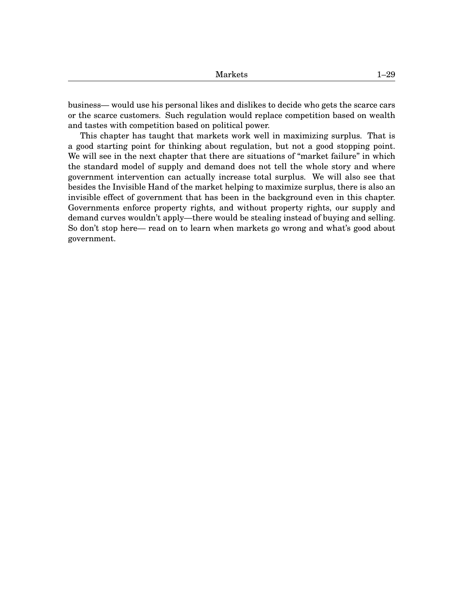business— would use his personal likes and dislikes to decide who gets the scarce cars or the scarce customers. Such regulation would replace competition based on wealth and tastes with competition based on political power.

This chapter has taught that markets work well in maximizing surplus. That is a good starting point for thinking about regulation, but not a good stopping point. We will see in the next chapter that there are situations of "market failure" in which the standard model of supply and demand does not tell the whole story and where government intervention can actually increase total surplus. We will also see that besides the Invisible Hand of the market helping to maximize surplus, there is also an invisible effect of government that has been in the background even in this chapter. Governments enforce property rights, and without property rights, our supply and demand curves wouldn't apply—there would be stealing instead of buying and selling. So don't stop here— read on to learn when markets go wrong and what's good about government.